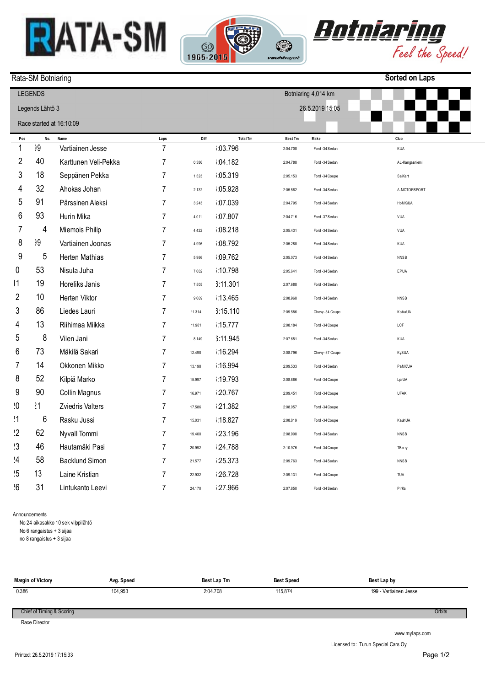





**Sorted on Laps**

## Rata-SM Botniaring

## **Pos**  1 2 3 4 5 6 7 8 9 10 11 12 3 14 15 16 17 18 19  $\overline{2}$  $21$  $2<sup>2</sup>$  $23$  $\overline{2}$ 25 26 **No.**  199 40 18 32 91 93 4 299 5 53 19 10 86 13 8 73 14 52 90  $21$ 6 62 46 58 113 31 **Name**  Vartiainen Jesse Karttunen Veli-Pekka Seppänen Pekka Ahokas Johan Pärssinen Aleksi Hurin Mika Miemois Philip Vartiainen Joonas Herten Mathias Nisula Juha Horeliks Janis Herten Viktor Liedes Lauri Riihimaa Miikka Vilen Jani Mäkilä Sakari Okkonen Mikko Kilpiä Marko Collin Magnus Zviedris Valters Rasku Jussi Nyvall Tommi Hautamäki Pasi Backlund Simon Laine Kristian Lintukanto Leevi **Laps**  7 7 7 7 7 7 7 7 7 7 7 7 7 7 7 7 7 7 7 7 7 7 7 7 7 7 **Diff**  0.386 1.523 2.132 3.243 4.011 4.422 4.996 5.966 7.002 7.505 9.669 11.314 11.981 8.149 12.498 13.198 15.997 16.971 17.586 15.031 19.400 20.992 21.577 22.932 24.170 **Total Tm**  16:03.796 16:04.182 1:05.319 1:05.928 1:07.039 16:07.807 1:08.218 16:08.792 109.762  $3:10.798$ 16:11.301 i:13.465 16:15.110  $15.777$ 6:11.945 16:16.294 16:16.994 i:19.793 i:20.767 16:21.382 16:18.827 1:23.196 i:24.788 i:25.373 i:26.728 1.27.966 **Best Tm**  2:04.708 2:04.788 2:05.153 2:05.562 2:04.795 2:04.716 2:05.431 2:05.288 2:05.073 2:05.641 2:07.688 2:08.968 2:09.586 2:08.184 2:07.651 2:08.796 2:09.533 2:08.866 2:09.451 2:08.057 2:08.819 2:08.908 2:10.976 2:09.763 2:09.131 2:07.850 **Make**  Ford -34 Sedan Ford -34 Sedan Ford -34 Coupe Ford -34 Sedan Ford -34 Sedan Ford -37 Sedan Ford -34 Sedan Ford -34 Sedan Ford -34 Sedan Ford -34 Sedan Ford -34 Sedan Ford -34 Sedan Chevy -34 Coupe Ford -34 Coupe Ford -34 Sedan Chevy -37 Coupe Ford -34 Sedan Ford -34 Coupe Ford -34 Coupe Ford -34 Coupe Ford -34 Coupe Ford -34 Sedan Ford -34 Coupe Ford -34 Sedan Ford -34 Coupe Ford -34 Sedan **Club**  KUA AL-Kangasniemi SaiKart A-MOTORSPORT HoMK/UA  $VIII$ VUA KUA NNSB EPUA NNSB KotkaUA LCF KUA KySUA PaMK/UA LprUA UFAK KauhUA NNSB TBo<sub>n</sub> NNSB TUA PirKa LEGENDS Legends Lähtö 3 Race started at 16:10:09 Botniaring 4,014 km 26.5.2019 15:05

Announcements

No 24 aikasakko 10 sek vilppilähtö

No 6 rangaistus + 3 sijaa

no 8 rangaistus + 3 sijaa

| Margin of Victory | Avg. Speed | Best Lap Tm | <b>Best Speed</b> | Best Lap by            |
|-------------------|------------|-------------|-------------------|------------------------|
| 0.386             | 104,953    | 2:04.708    | 115.874           | 199 - Vartiainen Jesse |

Chief of Timing & Scoring

Race Director

www.mylaps.com

Licensed to: Turun Special Cars Oy

**Orbits**